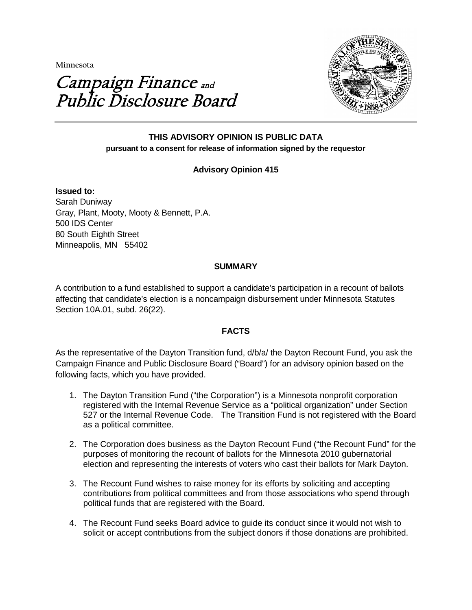**Minnesota** 

# Campaign Finance and Public Disclosure Board



# **THIS ADVISORY OPINION IS PUBLIC DATA pursuant to a consent for release of information signed by the requestor**

# **Advisory Opinion 415**

**Issued to:** Sarah Duniway Gray, Plant, Mooty, Mooty & Bennett, P.A. 500 IDS Center 80 South Eighth Street Minneapolis, MN 55402

# **SUMMARY**

A contribution to a fund established to support a candidate's participation in a recount of ballots affecting that candidate's election is a noncampaign disbursement under Minnesota Statutes Section 10A.01, subd. 26(22).

## **FACTS**

As the representative of the Dayton Transition fund, d/b/a/ the Dayton Recount Fund, you ask the Campaign Finance and Public Disclosure Board ("Board") for an advisory opinion based on the following facts, which you have provided.

- 1. The Dayton Transition Fund ("the Corporation") is a Minnesota nonprofit corporation registered with the Internal Revenue Service as a "political organization" under Section 527 or the Internal Revenue Code. The Transition Fund is not registered with the Board as a political committee.
- 2. The Corporation does business as the Dayton Recount Fund ("the Recount Fund" for the purposes of monitoring the recount of ballots for the Minnesota 2010 gubernatorial election and representing the interests of voters who cast their ballots for Mark Dayton.
- 3. The Recount Fund wishes to raise money for its efforts by soliciting and accepting contributions from political committees and from those associations who spend through political funds that are registered with the Board.
- 4. The Recount Fund seeks Board advice to guide its conduct since it would not wish to solicit or accept contributions from the subject donors if those donations are prohibited.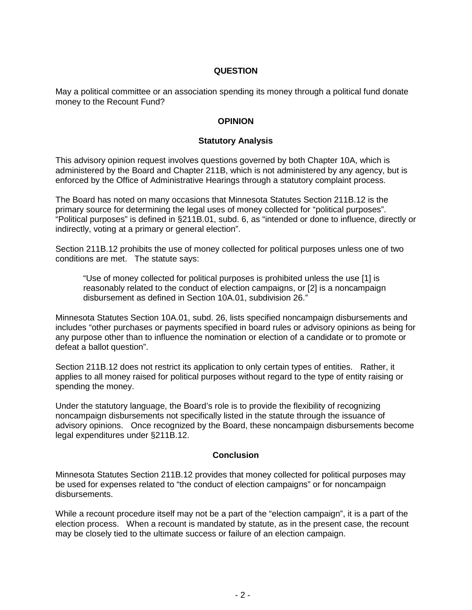# **QUESTION**

May a political committee or an association spending its money through a political fund donate money to the Recount Fund?

## **OPINION**

#### **Statutory Analysis**

This advisory opinion request involves questions governed by both Chapter 10A, which is administered by the Board and Chapter 211B, which is not administered by any agency, but is enforced by the Office of Administrative Hearings through a statutory complaint process.

The Board has noted on many occasions that Minnesota Statutes Section 211B.12 is the primary source for determining the legal uses of money collected for "political purposes". "Political purposes" is defined in §211B.01, subd. 6, as "intended or done to influence, directly or indirectly, voting at a primary or general election".

Section 211B.12 prohibits the use of money collected for political purposes unless one of two conditions are met. The statute says:

"Use of money collected for political purposes is prohibited unless the use [1] is reasonably related to the conduct of election campaigns, or [2] is a noncampaign disbursement as defined in Section 10A.01, subdivision 26."

Minnesota Statutes Section 10A.01, subd. 26, lists specified noncampaign disbursements and includes "other purchases or payments specified in board rules or advisory opinions as being for any purpose other than to influence the nomination or election of a candidate or to promote or defeat a ballot question".

Section 211B.12 does not restrict its application to only certain types of entities. Rather, it applies to all money raised for political purposes without regard to the type of entity raising or spending the money.

Under the statutory language, the Board's role is to provide the flexibility of recognizing noncampaign disbursements not specifically listed in the statute through the issuance of advisory opinions. Once recognized by the Board, these noncampaign disbursements become legal expenditures under §211B.12.

#### **Conclusion**

Minnesota Statutes Section 211B.12 provides that money collected for political purposes may be used for expenses related to "the conduct of election campaigns" or for noncampaign disbursements.

While a recount procedure itself may not be a part of the "election campaign", it is a part of the election process. When a recount is mandated by statute, as in the present case, the recount may be closely tied to the ultimate success or failure of an election campaign.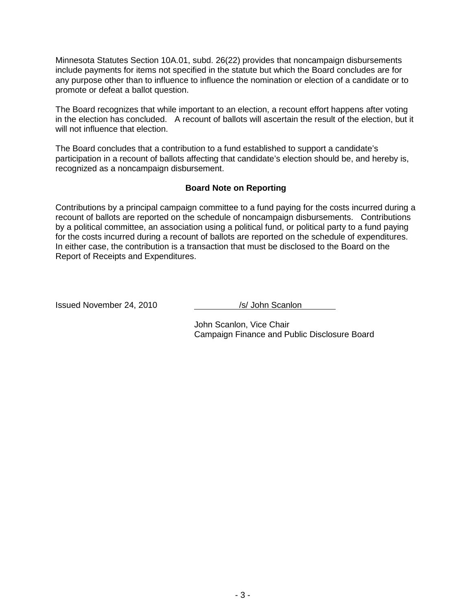Minnesota Statutes Section 10A.01, subd. 26(22) provides that noncampaign disbursements include payments for items not specified in the statute but which the Board concludes are for any purpose other than to influence to influence the nomination or election of a candidate or to promote or defeat a ballot question.

The Board recognizes that while important to an election, a recount effort happens after voting in the election has concluded. A recount of ballots will ascertain the result of the election, but it will not influence that election.

The Board concludes that a contribution to a fund established to support a candidate's participation in a recount of ballots affecting that candidate's election should be, and hereby is, recognized as a noncampaign disbursement.

## **Board Note on Reporting**

Contributions by a principal campaign committee to a fund paying for the costs incurred during a recount of ballots are reported on the schedule of noncampaign disbursements. Contributions by a political committee, an association using a political fund, or political party to a fund paying for the costs incurred during a recount of ballots are reported on the schedule of expenditures. In either case, the contribution is a transaction that must be disclosed to the Board on the Report of Receipts and Expenditures.

Issued November 24, 2010 /s/ John Scanlon

John Scanlon, Vice Chair Campaign Finance and Public Disclosure Board